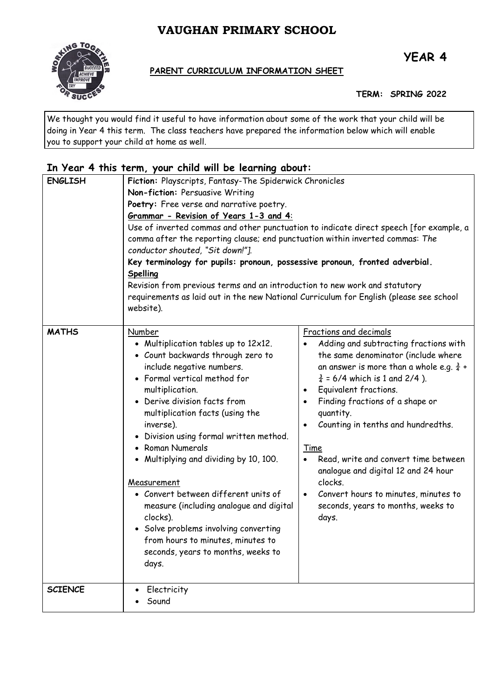# **VAUGHAN PRIMARY SCHOOL**



# **PARENT CURRICULUM INFORMATION SHEET**

**TERM: SPRING 2022**

We thought you would find it useful to have information about some of the work that your child will be doing in Year 4 this term. The class teachers have prepared the information below which will enable you to support your child at home as well.

# **In Year 4 this term, your child will be learning about:**

| <b>ENGLISH</b> | Fiction: Playscripts, Fantasy-The Spiderwick Chronicles<br>Non-fiction: Persuasive Writing<br>Poetry: Free verse and narrative poetry.<br>Grammar - Revision of Years 1-3 and 4:<br>Use of inverted commas and other punctuation to indicate direct speech [for example, a<br>comma after the reporting clause; end punctuation within inverted commas: The<br>conductor shouted, "Sit down!"].<br>Key terminology for pupils: pronoun, possessive pronoun, fronted adverbial.<br>Spelling<br>Revision from previous terms and an introduction to new work and statutory<br>requirements as laid out in the new National Curriculum for English (please see school<br>website). |                                                                                                                                                                                                                                                                                                                                                                                                                                                                                                                                                          |
|----------------|---------------------------------------------------------------------------------------------------------------------------------------------------------------------------------------------------------------------------------------------------------------------------------------------------------------------------------------------------------------------------------------------------------------------------------------------------------------------------------------------------------------------------------------------------------------------------------------------------------------------------------------------------------------------------------|----------------------------------------------------------------------------------------------------------------------------------------------------------------------------------------------------------------------------------------------------------------------------------------------------------------------------------------------------------------------------------------------------------------------------------------------------------------------------------------------------------------------------------------------------------|
| <b>MATHS</b>   | Number<br>• Multiplication tables up to 12x12.<br>• Count backwards through zero to<br>include negative numbers.<br>• Formal vertical method for<br>multiplication.<br>• Derive division facts from<br>multiplication facts (using the<br>inverse).<br>• Division using formal written method.<br>• Roman Numerals<br>• Multiplying and dividing by 10, 100.<br>Measurement<br>• Convert between different units of<br>measure (including analogue and digital<br>clocks).<br>• Solve problems involving converting<br>from hours to minutes, minutes to<br>seconds, years to months, weeks to<br>days.                                                                         | Fractions and decimals<br>Adding and subtracting fractions with<br>the same denominator (include where<br>an answer is more than a whole e.g. $\frac{3}{4}$ +<br>$\frac{3}{4}$ = 6/4 which is 1 and 2/4).<br>Equivalent fractions.<br>$\bullet$<br>Finding fractions of a shape or<br>quantity.<br>Counting in tenths and hundredths.<br>$\bullet$<br>Time<br>Read, write and convert time between<br>analogue and digital 12 and 24 hour<br>clocks.<br>Convert hours to minutes, minutes to<br>$\bullet$<br>seconds, years to months, weeks to<br>days. |
| <b>SCIENCE</b> | Electricity<br>Sound                                                                                                                                                                                                                                                                                                                                                                                                                                                                                                                                                                                                                                                            |                                                                                                                                                                                                                                                                                                                                                                                                                                                                                                                                                          |